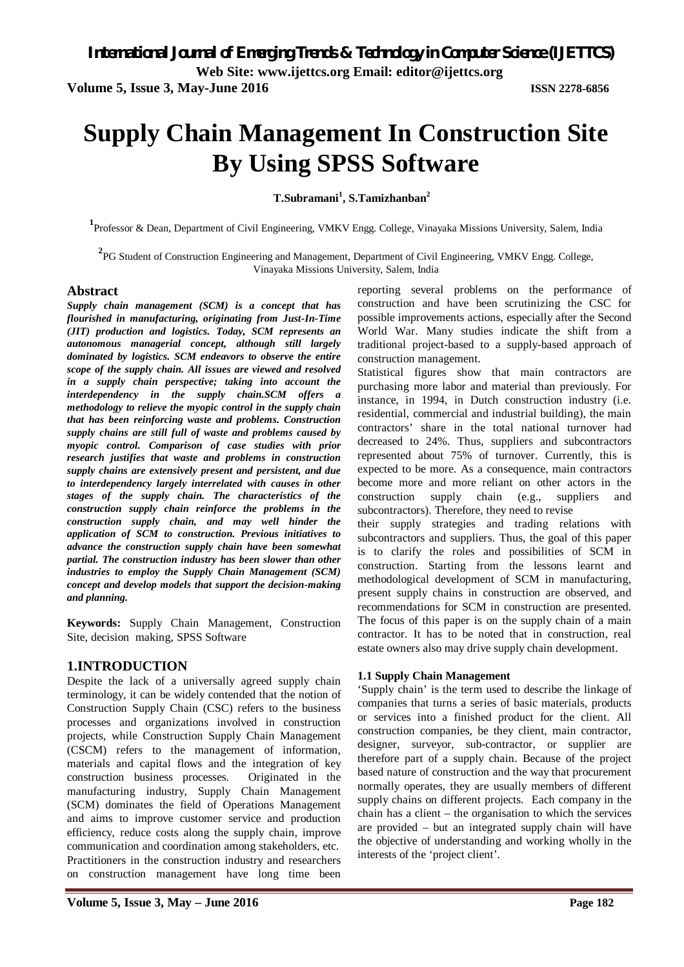**Web Site: www.ijettcs.org Email: editor@ijettcs.org** 

**Volume 5, Issue 3, May-June 2016 ISSN 2278-6856**

# **Supply Chain Management In Construction Site By Using SPSS Software**

**T.Subramani<sup>1</sup> , S.Tamizhanban<sup>2</sup>**

**1** Professor & Dean, Department of Civil Engineering, VMKV Engg. College, Vinayaka Missions University, Salem, India

**2** PG Student of Construction Engineering and Management, Department of Civil Engineering, VMKV Engg. College, Vinayaka Missions University, Salem, India

#### **Abstract**

*Supply chain management (SCM) is a concept that has flourished in manufacturing, originating from Just-In-Time (JIT) production and logistics. Today, SCM represents an autonomous managerial concept, although still largely dominated by logistics. SCM endeavors to observe the entire scope of the supply chain. All issues are viewed and resolved in a supply chain perspective; taking into account the interdependency in the supply chain.SCM offers a methodology to relieve the myopic control in the supply chain that has been reinforcing waste and problems. Construction supply chains are still full of waste and problems caused by myopic control. Comparison of case studies with prior research justifies that waste and problems in construction supply chains are extensively present and persistent, and due to interdependency largely interrelated with causes in other stages of the supply chain. The characteristics of the construction supply chain reinforce the problems in the construction supply chain, and may well hinder the application of SCM to construction. Previous initiatives to advance the construction supply chain have been somewhat partial. The construction industry has been slower than other industries to employ the Supply Chain Management (SCM) concept and develop models that support the decision-making and planning.*

**Keywords:** Supply Chain Management, Construction Site, decision making, SPSS Software

#### **1.INTRODUCTION**

Despite the lack of a universally agreed supply chain terminology, it can be widely contended that the notion of Construction Supply Chain (CSC) refers to the business processes and organizations involved in construction projects, while Construction Supply Chain Management (CSCM) refers to the management of information, materials and capital flows and the integration of key construction business processes. Originated in the manufacturing industry, Supply Chain Management (SCM) dominates the field of Operations Management and aims to improve customer service and production efficiency, reduce costs along the supply chain, improve communication and coordination among stakeholders, etc. Practitioners in the construction industry and researchers on construction management have long time been reporting several problems on the performance of construction and have been scrutinizing the CSC for possible improvements actions, especially after the Second World War. Many studies indicate the shift from a traditional project-based to a supply-based approach of construction management.

Statistical figures show that main contractors are purchasing more labor and material than previously. For instance, in 1994, in Dutch construction industry (i.e. residential, commercial and industrial building), the main contractors' share in the total national turnover had decreased to 24%. Thus, suppliers and subcontractors represented about 75% of turnover. Currently, this is expected to be more. As a consequence, main contractors become more and more reliant on other actors in the construction supply chain (e.g., suppliers and subcontractors). Therefore, they need to revise

their supply strategies and trading relations with subcontractors and suppliers. Thus, the goal of this paper is to clarify the roles and possibilities of SCM in construction. Starting from the lessons learnt and methodological development of SCM in manufacturing, present supply chains in construction are observed, and recommendations for SCM in construction are presented. The focus of this paper is on the supply chain of a main contractor. It has to be noted that in construction, real estate owners also may drive supply chain development.

#### **1.1 Supply Chain Management**

'Supply chain' is the term used to describe the linkage of companies that turns a series of basic materials, products or services into a finished product for the client. All construction companies, be they client, main contractor, designer, surveyor, sub-contractor, or supplier are therefore part of a supply chain. Because of the project based nature of construction and the way that procurement normally operates, they are usually members of different supply chains on different projects. Each company in the chain has a client – the organisation to which the services are provided – but an integrated supply chain will have the objective of understanding and working wholly in the interests of the 'project client'.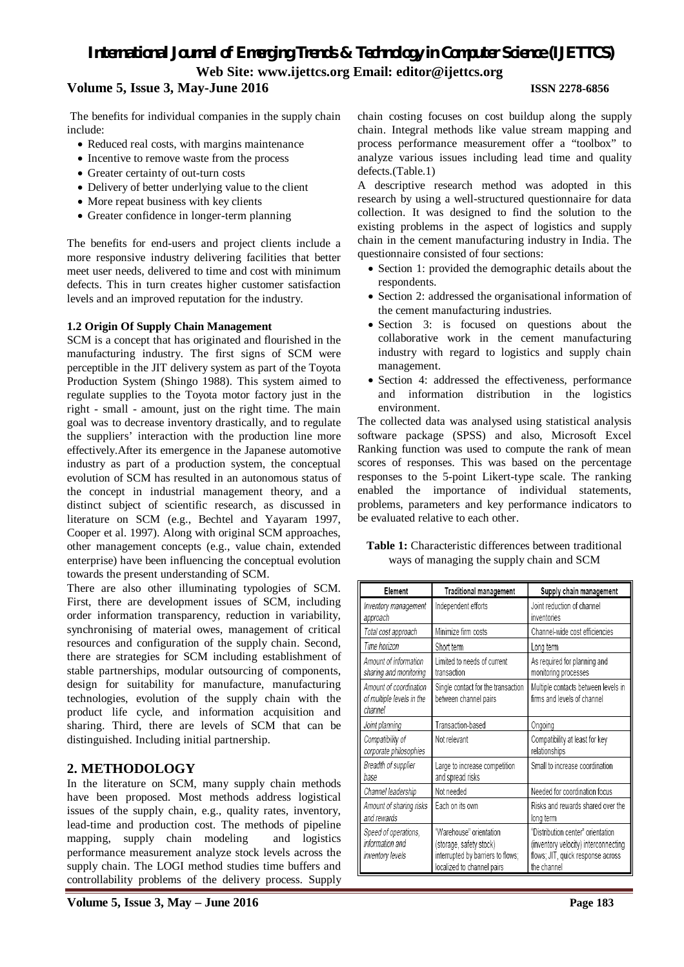#### **Volume 5, Issue 3, May-June 2016 ISSN 2278-6856**

The benefits for individual companies in the supply chain include:

- Reduced real costs, with margins maintenance
- Incentive to remove waste from the process
- Greater certainty of out-turn costs
- Delivery of better underlying value to the client
- More repeat business with key clients
- Greater confidence in longer-term planning

The benefits for end-users and project clients include a more responsive industry delivering facilities that better meet user needs, delivered to time and cost with minimum defects. This in turn creates higher customer satisfaction levels and an improved reputation for the industry.

#### **1.2 Origin Of Supply Chain Management**

SCM is a concept that has originated and flourished in the manufacturing industry. The first signs of SCM were perceptible in the JIT delivery system as part of the Toyota Production System (Shingo 1988). This system aimed to regulate supplies to the Toyota motor factory just in the right - small - amount, just on the right time. The main goal was to decrease inventory drastically, and to regulate the suppliers' interaction with the production line more effectively.After its emergence in the Japanese automotive industry as part of a production system, the conceptual evolution of SCM has resulted in an autonomous status of the concept in industrial management theory, and a distinct subject of scientific research, as discussed in literature on SCM (e.g., Bechtel and Yayaram 1997, Cooper et al. 1997). Along with original SCM approaches, other management concepts (e.g., value chain, extended enterprise) have been influencing the conceptual evolution towards the present understanding of SCM.

There are also other illuminating typologies of SCM. First, there are development issues of SCM, including order information transparency, reduction in variability, synchronising of material owes, management of critical resources and configuration of the supply chain. Second, there are strategies for SCM including establishment of stable partnerships, modular outsourcing of components, design for suitability for manufacture, manufacturing technologies, evolution of the supply chain with the product life cycle, and information acquisition and sharing. Third, there are levels of SCM that can be distinguished. Including initial partnership.

#### **2. METHODOLOGY**

In the literature on SCM, many supply chain methods have been proposed. Most methods address logistical issues of the supply chain, e.g., quality rates, inventory, lead-time and production cost. The methods of pipeline mapping, supply chain modeling and logistics performance measurement analyze stock levels across the supply chain. The LOGI method studies time buffers and controllability problems of the delivery process. Supply

chain costing focuses on cost buildup along the supply chain. Integral methods like value stream mapping and process performance measurement offer a "toolbox" to analyze various issues including lead time and quality defects.(Table.1)

A descriptive research method was adopted in this research by using a well-structured questionnaire for data collection. It was designed to find the solution to the existing problems in the aspect of logistics and supply chain in the cement manufacturing industry in India. The questionnaire consisted of four sections:

- Section 1: provided the demographic details about the respondents.
- Section 2: addressed the organisational information of the cement manufacturing industries.
- Section 3: is focused on questions about the collaborative work in the cement manufacturing industry with regard to logistics and supply chain management.
- Section 4: addressed the effectiveness, performance and information distribution in the logistics environment.

The collected data was analysed using statistical analysis software package (SPSS) and also, Microsoft Excel Ranking function was used to compute the rank of mean scores of responses. This was based on the percentage responses to the 5-point Likert-type scale. The ranking enabled the importance of individual statements, problems, parameters and key performance indicators to be evaluated relative to each other.

**Table 1:** Characteristic differences between traditional ways of managing the supply chain and SCM

| Element                                                        | Traditional management                                                                                                | Supply chain management                                                                                                       |  |  |  |  |  |
|----------------------------------------------------------------|-----------------------------------------------------------------------------------------------------------------------|-------------------------------------------------------------------------------------------------------------------------------|--|--|--|--|--|
| Inventory management<br>approach                               | Independent efforts                                                                                                   | Joint reduction of channel<br>inventories                                                                                     |  |  |  |  |  |
| Total cost approach                                            | Minimize firm costs                                                                                                   | Channel-wide cost efficiencies                                                                                                |  |  |  |  |  |
| Time horizon                                                   | Short term                                                                                                            | Long term                                                                                                                     |  |  |  |  |  |
| Amount of information<br>sharing and monitoring                | Limited to needs of current<br>transaction                                                                            | As required for planning and<br>monitoring processes                                                                          |  |  |  |  |  |
| Amount of coordination<br>of multiple levels in the<br>channel | Single contact for the transaction<br>between channel pairs                                                           | Multiple contacts between levels in<br>firms and levels of channel                                                            |  |  |  |  |  |
| Joint planning                                                 | Transaction-based                                                                                                     | Ongoing                                                                                                                       |  |  |  |  |  |
| Compatibility of<br>corporate philosophies                     | Not relevant                                                                                                          | Compatibility at least for key<br>relationships                                                                               |  |  |  |  |  |
| Breadth of supplier<br>base                                    | Large to increase competition<br>and spread risks                                                                     | Small to increase coordination                                                                                                |  |  |  |  |  |
| Channel leadership                                             | Not needed                                                                                                            | Needed for coordination focus                                                                                                 |  |  |  |  |  |
| Amount of sharing risks<br>and rewards                         | Each on its own                                                                                                       | Risks and rewards shared over the<br>long term                                                                                |  |  |  |  |  |
| Speed of operations,<br>information and<br>inventory levels    | "Warehouse" orientation<br>(storage, safety stock)<br>interrupted by barriers to flows;<br>localized to channel pairs | "Distribution center" orientation<br>(inventory velocity) interconnecting<br>flows; JIT, quick response across<br>the channel |  |  |  |  |  |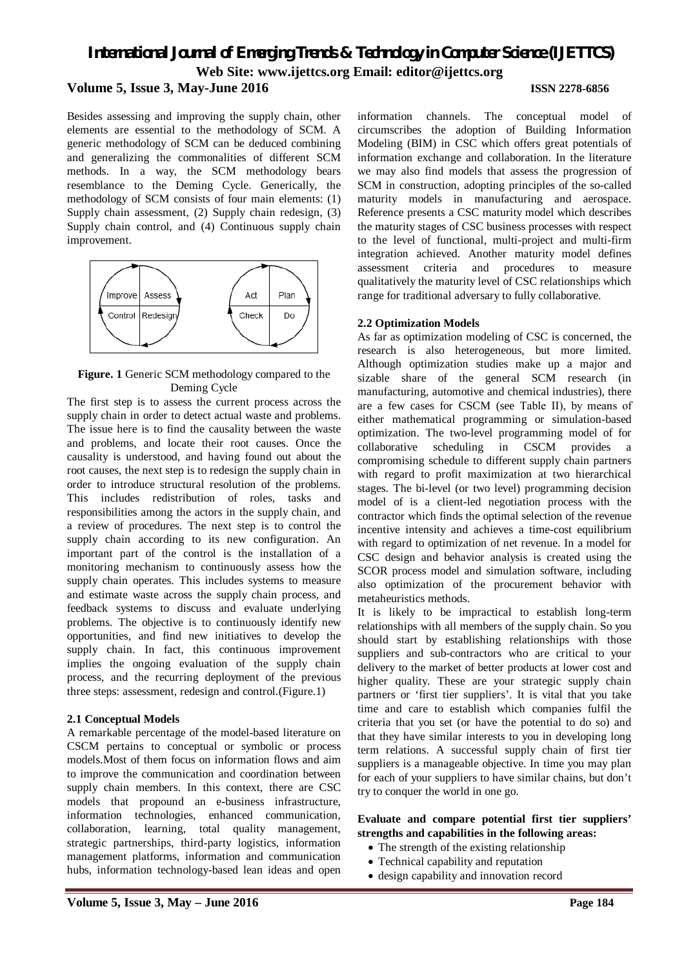Besides assessing and improving the supply chain, other elements are essential to the methodology of SCM. A generic methodology of SCM can be deduced combining and generalizing the commonalities of different SCM methods. In a way, the SCM methodology bears resemblance to the Deming Cycle. Generically, the methodology of SCM consists of four main elements: (1) Supply chain assessment, (2) Supply chain redesign, (3) Supply chain control, and (4) Continuous supply chain improvement.



**Figure. 1** Generic SCM methodology compared to the Deming Cycle

The first step is to assess the current process across the supply chain in order to detect actual waste and problems. The issue here is to find the causality between the waste and problems, and locate their root causes. Once the causality is understood, and having found out about the root causes, the next step is to redesign the supply chain in order to introduce structural resolution of the problems. This includes redistribution of roles, tasks and responsibilities among the actors in the supply chain, and a review of procedures. The next step is to control the supply chain according to its new configuration. An important part of the control is the installation of a monitoring mechanism to continuously assess how the supply chain operates. This includes systems to measure and estimate waste across the supply chain process, and feedback systems to discuss and evaluate underlying problems. The objective is to continuously identify new opportunities, and find new initiatives to develop the supply chain. In fact, this continuous improvement implies the ongoing evaluation of the supply chain process, and the recurring deployment of the previous three steps: assessment, redesign and control.(Figure.1)

#### **2.1 Conceptual Models**

A remarkable percentage of the model-based literature on CSCM pertains to conceptual or symbolic or process models.Most of them focus on information flows and aim to improve the communication and coordination between supply chain members. In this context, there are CSC models that propound an e-business infrastructure, information technologies, enhanced communication, collaboration, learning, total quality management, strategic partnerships, third-party logistics, information management platforms, information and communication hubs, information technology-based lean ideas and open

information channels. The conceptual model of circumscribes the adoption of Building Information Modeling (BIM) in CSC which offers great potentials of information exchange and collaboration. In the literature we may also find models that assess the progression of SCM in construction, adopting principles of the so-called maturity models in manufacturing and aerospace. Reference presents a CSC maturity model which describes the maturity stages of CSC business processes with respect to the level of functional, multi-project and multi-firm integration achieved. Another maturity model defines assessment criteria and procedures to measure qualitatively the maturity level of CSC relationships which range for traditional adversary to fully collaborative.

#### **2.2 Optimization Models**

As far as optimization modeling of CSC is concerned, the research is also heterogeneous, but more limited. Although optimization studies make up a major and sizable share of the general SCM research (in manufacturing, automotive and chemical industries), there are a few cases for CSCM (see Table ΙΙ), by means of either mathematical programming or simulation-based optimization. The two-level programming model of for collaborative scheduling in CSCM provides a compromising schedule to different supply chain partners with regard to profit maximization at two hierarchical stages. The bi-level (or two level) programming decision model of is a client-led negotiation process with the contractor which finds the optimal selection of the revenue incentive intensity and achieves a time-cost equilibrium with regard to optimization of net revenue. In a model for CSC design and behavior analysis is created using the SCOR process model and simulation software, including also optimization of the procurement behavior with metaheuristics methods.

It is likely to be impractical to establish long-term relationships with all members of the supply chain. So you should start by establishing relationships with those suppliers and sub-contractors who are critical to your delivery to the market of better products at lower cost and higher quality. These are your strategic supply chain partners or 'first tier suppliers'. It is vital that you take time and care to establish which companies fulfil the criteria that you set (or have the potential to do so) and that they have similar interests to you in developing long term relations. A successful supply chain of first tier suppliers is a manageable objective. In time you may plan for each of your suppliers to have similar chains, but don't try to conquer the world in one go.

#### **Evaluate and compare potential first tier suppliers' strengths and capabilities in the following areas:**

- The strength of the existing relationship
- Technical capability and reputation
- design capability and innovation record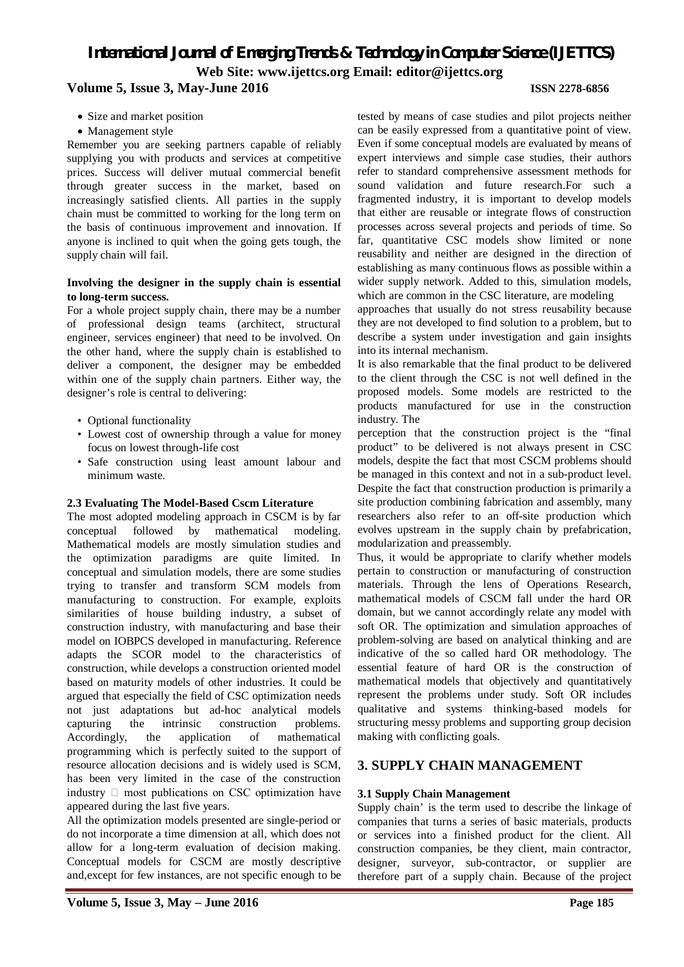- Size and market position
- Management style

Remember you are seeking partners capable of reliably supplying you with products and services at competitive prices. Success will deliver mutual commercial benefit through greater success in the market, based on increasingly satisfied clients. All parties in the supply chain must be committed to working for the long term on the basis of continuous improvement and innovation. If anyone is inclined to quit when the going gets tough, the supply chain will fail.

#### **Involving the designer in the supply chain is essential to long-term success.**

For a whole project supply chain, there may be a number of professional design teams (architect, structural engineer, services engineer) that need to be involved. On the other hand, where the supply chain is established to deliver a component, the designer may be embedded within one of the supply chain partners. Either way, the designer's role is central to delivering:

- Optional functionality
- Lowest cost of ownership through a value for money focus on lowest through-life cost
- Safe construction using least amount labour and minimum waste.

#### **2.3 Evaluating The Model-Based Cscm Literature**

The most adopted modeling approach in CSCM is by far conceptual followed by mathematical modeling. Mathematical models are mostly simulation studies and the optimization paradigms are quite limited. In conceptual and simulation models, there are some studies trying to transfer and transform SCM models from manufacturing to construction. For example, exploits similarities of house building industry, a subset of construction industry, with manufacturing and base their model on IOBPCS developed in manufacturing. Reference adapts the SCOR model to the characteristics of construction, while develops a construction oriented model based on maturity models of other industries. It could be argued that especially the field of CSC optimization needs not just adaptations but ad-hoc analytical models capturing the intrinsic construction problems. Accordingly, the application of mathematical programming which is perfectly suited to the support of resource allocation decisions and is widely used is SCM, has been very limited in the case of the construction industry  $\Box$  most publications on CSC optimization have appeared during the last five years.

All the optimization models presented are single-period or do not incorporate a time dimension at all, which does not allow for a long-term evaluation of decision making. Conceptual models for CSCM are mostly descriptive and,except for few instances, are not specific enough to be

tested by means of case studies and pilot projects neither can be easily expressed from a quantitative point of view. Even if some conceptual models are evaluated by means of expert interviews and simple case studies, their authors refer to standard comprehensive assessment methods for sound validation and future research.For such a fragmented industry, it is important to develop models that either are reusable or integrate flows of construction processes across several projects and periods of time. So far, quantitative CSC models show limited or none reusability and neither are designed in the direction of establishing as many continuous flows as possible within a wider supply network. Added to this, simulation models, which are common in the CSC literature, are modeling

approaches that usually do not stress reusability because they are not developed to find solution to a problem, but to describe a system under investigation and gain insights into its internal mechanism.

It is also remarkable that the final product to be delivered to the client through the CSC is not well defined in the proposed models. Some models are restricted to the products manufactured for use in the construction industry. The

perception that the construction project is the "final product" to be delivered is not always present in CSC models, despite the fact that most CSCM problems should be managed in this context and not in a sub-product level. Despite the fact that construction production is primarily a site production combining fabrication and assembly, many researchers also refer to an off-site production which evolves upstream in the supply chain by prefabrication, modularization and preassembly.

Thus, it would be appropriate to clarify whether models pertain to construction or manufacturing of construction materials. Through the lens of Operations Research, mathematical models of CSCM fall under the hard OR domain, but we cannot accordingly relate any model with soft OR. The optimization and simulation approaches of problem-solving are based on analytical thinking and are indicative of the so called hard OR methodology. The essential feature of hard OR is the construction of mathematical models that objectively and quantitatively represent the problems under study. Soft OR includes qualitative and systems thinking-based models for structuring messy problems and supporting group decision making with conflicting goals.

#### **3. SUPPLY CHAIN MANAGEMENT**

#### **3.1 Supply Chain Management**

Supply chain' is the term used to describe the linkage of companies that turns a series of basic materials, products or services into a finished product for the client. All construction companies, be they client, main contractor, designer, surveyor, sub-contractor, or supplier are therefore part of a supply chain. Because of the project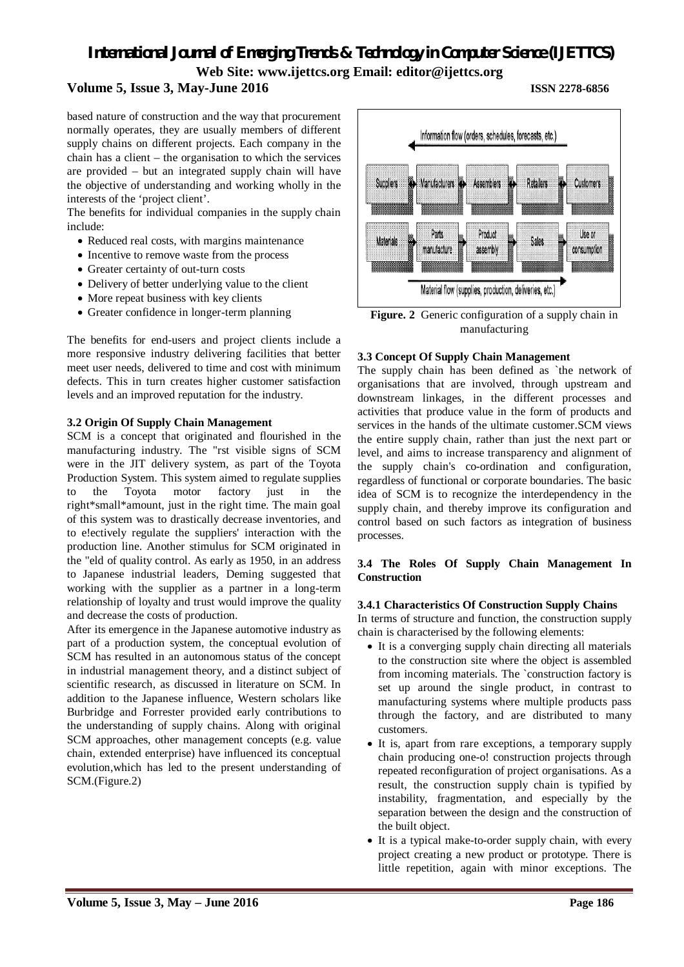#### **Volume 5, Issue 3, May-June 2016 ISSN 2278-6856**

based nature of construction and the way that procurement normally operates, they are usually members of different supply chains on different projects. Each company in the chain has a client – the organisation to which the services are provided – but an integrated supply chain will have the objective of understanding and working wholly in the interests of the 'project client'.

The benefits for individual companies in the supply chain include:

- Reduced real costs, with margins maintenance
- Incentive to remove waste from the process
- Greater certainty of out-turn costs
- Delivery of better underlying value to the client
- More repeat business with key clients
- Greater confidence in longer-term planning

The benefits for end-users and project clients include a more responsive industry delivering facilities that better meet user needs, delivered to time and cost with minimum defects. This in turn creates higher customer satisfaction levels and an improved reputation for the industry.

#### **3.2 Origin Of Supply Chain Management**

SCM is a concept that originated and flourished in the manufacturing industry. The "rst visible signs of SCM were in the JIT delivery system, as part of the Toyota Production System. This system aimed to regulate supplies to the Toyota motor factory just in the right\*small\*amount, just in the right time. The main goal of this system was to drastically decrease inventories, and to e!ectively regulate the suppliers' interaction with the production line. Another stimulus for SCM originated in the "eld of quality control. As early as 1950, in an address to Japanese industrial leaders, Deming suggested that working with the supplier as a partner in a long-term relationship of loyalty and trust would improve the quality and decrease the costs of production.

After its emergence in the Japanese automotive industry as part of a production system, the conceptual evolution of SCM has resulted in an autonomous status of the concept in industrial management theory, and a distinct subject of scientific research, as discussed in literature on SCM. In addition to the Japanese influence, Western scholars like Burbridge and Forrester provided early contributions to the understanding of supply chains. Along with original SCM approaches, other management concepts (e.g. value chain, extended enterprise) have influenced its conceptual evolution,which has led to the present understanding of SCM.(Figure.2)



**Figure. 2** Generic configuration of a supply chain in manufacturing

#### **3.3 Concept Of Supply Chain Management**

The supply chain has been defined as `the network of organisations that are involved, through upstream and downstream linkages, in the different processes and activities that produce value in the form of products and services in the hands of the ultimate customer.SCM views the entire supply chain, rather than just the next part or level, and aims to increase transparency and alignment of the supply chain's co-ordination and configuration, regardless of functional or corporate boundaries. The basic idea of SCM is to recognize the interdependency in the supply chain, and thereby improve its configuration and control based on such factors as integration of business processes.

#### **3.4 The Roles Of Supply Chain Management In Construction**

#### **3.4.1 Characteristics Of Construction Supply Chains**

In terms of structure and function, the construction supply chain is characterised by the following elements:

- It is a converging supply chain directing all materials to the construction site where the object is assembled from incoming materials. The `construction factory is set up around the single product, in contrast to manufacturing systems where multiple products pass through the factory, and are distributed to many customers.
- It is, apart from rare exceptions, a temporary supply chain producing one-o! construction projects through repeated reconfiguration of project organisations. As a result, the construction supply chain is typified by instability, fragmentation, and especially by the separation between the design and the construction of the built object.
- It is a typical make-to-order supply chain, with every project creating a new product or prototype. There is little repetition, again with minor exceptions. The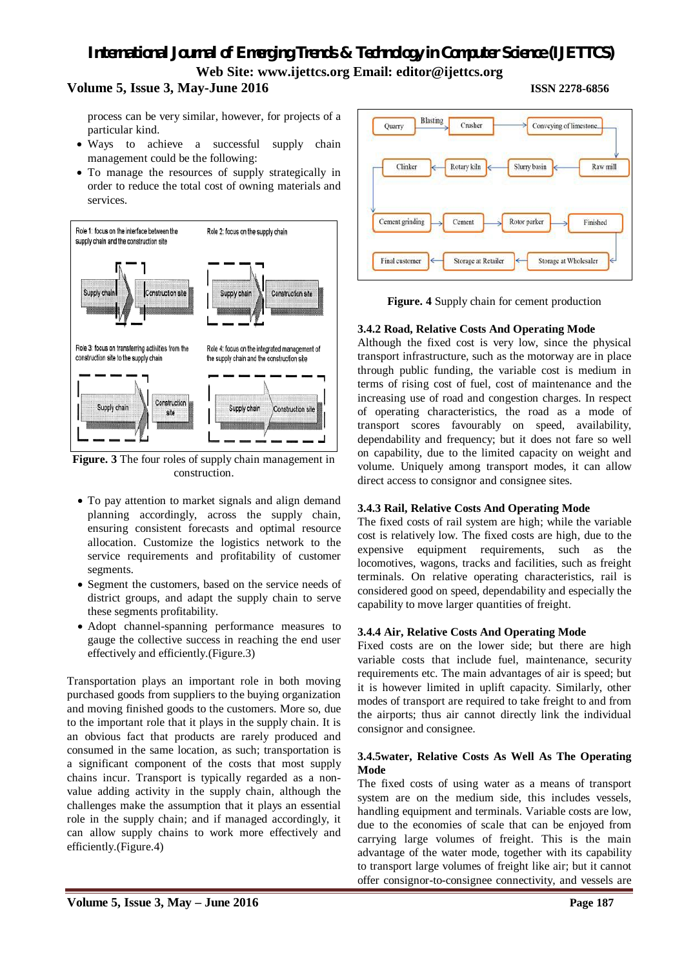#### **Volume 5, Issue 3, May-June 2016 ISSN 2278-6856**

process can be very similar, however, for projects of a particular kind.

- Ways to achieve a successful supply chain management could be the following:
- To manage the resources of supply strategically in order to reduce the total cost of owning materials and services.



**Figure. 3** The four roles of supply chain management in construction.

- To pay attention to market signals and align demand planning accordingly, across the supply chain, ensuring consistent forecasts and optimal resource allocation. Customize the logistics network to the service requirements and profitability of customer segments.
- Segment the customers, based on the service needs of district groups, and adapt the supply chain to serve these segments profitability.
- Adopt channel-spanning performance measures to gauge the collective success in reaching the end user effectively and efficiently.(Figure.3)

Transportation plays an important role in both moving purchased goods from suppliers to the buying organization and moving finished goods to the customers. More so, due to the important role that it plays in the supply chain. It is an obvious fact that products are rarely produced and consumed in the same location, as such; transportation is a significant component of the costs that most supply chains incur. Transport is typically regarded as a nonvalue adding activity in the supply chain, although the challenges make the assumption that it plays an essential role in the supply chain; and if managed accordingly, it can allow supply chains to work more effectively and efficiently.(Figure.4)



**Figure. 4** Supply chain for cement production

#### **3.4.2 Road, Relative Costs And Operating Mode**

Although the fixed cost is very low, since the physical transport infrastructure, such as the motorway are in place through public funding, the variable cost is medium in terms of rising cost of fuel, cost of maintenance and the increasing use of road and congestion charges. In respect of operating characteristics, the road as a mode of transport scores favourably on speed, availability, dependability and frequency; but it does not fare so well on capability, due to the limited capacity on weight and volume. Uniquely among transport modes, it can allow direct access to consignor and consignee sites.

#### **3.4.3 Rail, Relative Costs And Operating Mode**

The fixed costs of rail system are high; while the variable cost is relatively low. The fixed costs are high, due to the expensive equipment requirements, such as the locomotives, wagons, tracks and facilities, such as freight terminals. On relative operating characteristics, rail is considered good on speed, dependability and especially the capability to move larger quantities of freight.

#### **3.4.4 Air, Relative Costs And Operating Mode**

Fixed costs are on the lower side; but there are high variable costs that include fuel, maintenance, security requirements etc. The main advantages of air is speed; but it is however limited in uplift capacity. Similarly, other modes of transport are required to take freight to and from the airports; thus air cannot directly link the individual consignor and consignee.

#### **3.4.5water, Relative Costs As Well As The Operating Mode**

The fixed costs of using water as a means of transport system are on the medium side, this includes vessels, handling equipment and terminals. Variable costs are low, due to the economies of scale that can be enjoyed from carrying large volumes of freight. This is the main advantage of the water mode, together with its capability to transport large volumes of freight like air; but it cannot offer consignor-to-consignee connectivity, and vessels are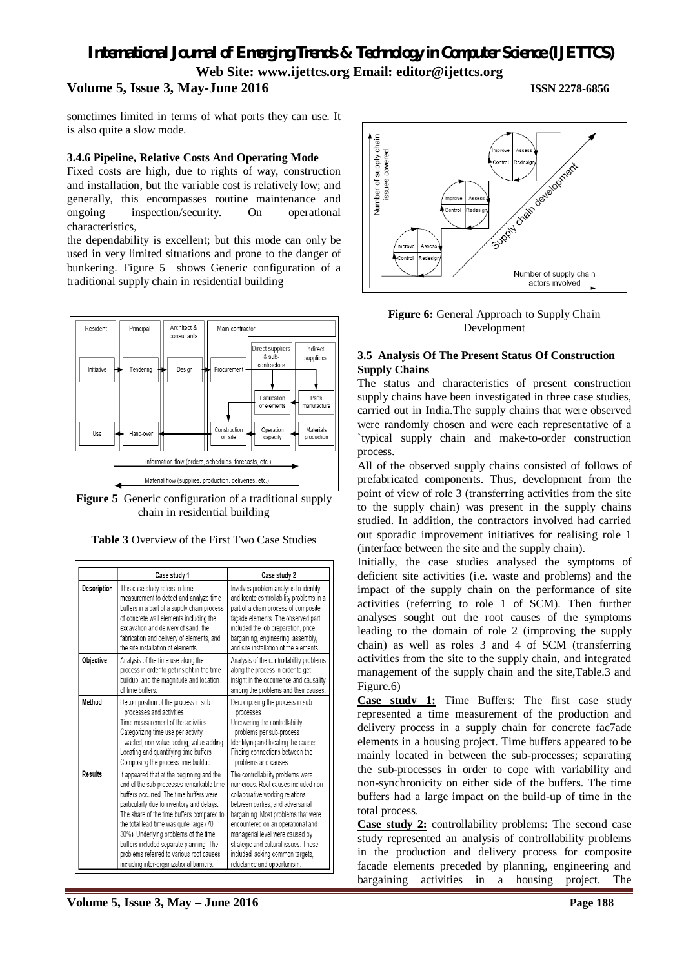#### **Volume 5, Issue 3, May-June 2016 ISSN 2278-6856**

sometimes limited in terms of what ports they can use. It is also quite a slow mode.

#### **3.4.6 Pipeline, Relative Costs And Operating Mode**

Fixed costs are high, due to rights of way, construction and installation, but the variable cost is relatively low; and generally, this encompasses routine maintenance and ongoing inspection/security. On operational characteristics,

the dependability is excellent; but this mode can only be used in very limited situations and prone to the danger of bunkering. Figure 5 shows Generic configuration of a traditional supply chain in residential building



**Figure 5** Generic configuration of a traditional supply chain in residential building



|             | Case study 1                                                                                                                                                                                                                                                                                                                                                                                                                                       | Case study 2                                                                                                                                                                                                                                                                                                                                                              |  |  |  |  |  |
|-------------|----------------------------------------------------------------------------------------------------------------------------------------------------------------------------------------------------------------------------------------------------------------------------------------------------------------------------------------------------------------------------------------------------------------------------------------------------|---------------------------------------------------------------------------------------------------------------------------------------------------------------------------------------------------------------------------------------------------------------------------------------------------------------------------------------------------------------------------|--|--|--|--|--|
| Description | This case study refers to time<br>measurement to detect and analyze time<br>buffers in a part of a supply chain process<br>of concrete wall elements including the<br>excavation and delivery of sand, the<br>fabrication and delivery of elements, and<br>the site installation of elements                                                                                                                                                       | Involves problem analysis to identify<br>and locate controllability problems in a<br>part of a chain process of composite<br>façade elements. The observed part<br>included the job preparation, price<br>bargaining, engineering, assembly,<br>and site installation of the elements                                                                                     |  |  |  |  |  |
| Objective   | Analysis of the time use along the<br>process in order to get insight in the time<br>buildup, and the magnitude and location<br>of time buffers.                                                                                                                                                                                                                                                                                                   | Analysis of the controllability problems<br>along the process in order to get<br>insight in the occurrence and causality<br>among the problems and their causes.                                                                                                                                                                                                          |  |  |  |  |  |
| Method      | Decomposition of the process in sub-<br>processes and activities<br>Time measurement of the activities<br>Categorizing time use per activity:<br>wasted, non-value-adding, value-adding<br>Locating and quantifying time buffers<br>Composing the process time buildup                                                                                                                                                                             | Decomposing the process in sub-<br>processes<br>Uncovering the controllability<br>problems per sub-process<br>Identifying and locating the causes<br>Finding connections between the<br>problems and causes                                                                                                                                                               |  |  |  |  |  |
| Results     | It appeared that at the beginning and the<br>end of the sub-processes remarkable time<br>buffers occurred. The time buffers were<br>particularly due to inventory and delays.<br>The share of the time buffers compared to<br>the total lead-time was quite large (70-<br>80%). Underlying problems of the time<br>buffers included separate planning. The<br>problems referred to various root causes<br>including inter-organizational barriers. | The controllability problems were<br>numerous. Root causes included non-<br>collaborative working relations<br>between parties, and adversarial<br>bargaining. Most problems that were<br>encountered on an operational and<br>managerial level were caused by<br>strategic and cultural issues. These<br>included lacking common targets,<br>reluctance and opportunism. |  |  |  |  |  |



Figure 6: General Approach to Supply Chain Development

#### **3.5 Analysis Of The Present Status Of Construction Supply Chains**

The status and characteristics of present construction supply chains have been investigated in three case studies, carried out in India.The supply chains that were observed were randomly chosen and were each representative of a `typical supply chain and make-to-order construction process.

All of the observed supply chains consisted of follows of prefabricated components. Thus, development from the point of view of role 3 (transferring activities from the site to the supply chain) was present in the supply chains studied. In addition, the contractors involved had carried out sporadic improvement initiatives for realising role 1 (interface between the site and the supply chain).

Initially, the case studies analysed the symptoms of deficient site activities (i.e. waste and problems) and the impact of the supply chain on the performance of site activities (referring to role 1 of SCM). Then further analyses sought out the root causes of the symptoms leading to the domain of role 2 (improving the supply chain) as well as roles 3 and 4 of SCM (transferring activities from the site to the supply chain, and integrated management of the supply chain and the site,Table.3 and Figure.6)

**Case study 1:** Time Buffers: The first case study represented a time measurement of the production and delivery process in a supply chain for concrete fac7ade elements in a housing project. Time buffers appeared to be mainly located in between the sub-processes; separating the sub-processes in order to cope with variability and non-synchronicity on either side of the buffers. The time buffers had a large impact on the build-up of time in the total process.

**Case study 2:** controllability problems: The second case study represented an analysis of controllability problems in the production and delivery process for composite facade elements preceded by planning, engineering and bargaining activities in a housing project. The

**Volume 5, Issue 3, May – June 2016 Page 188**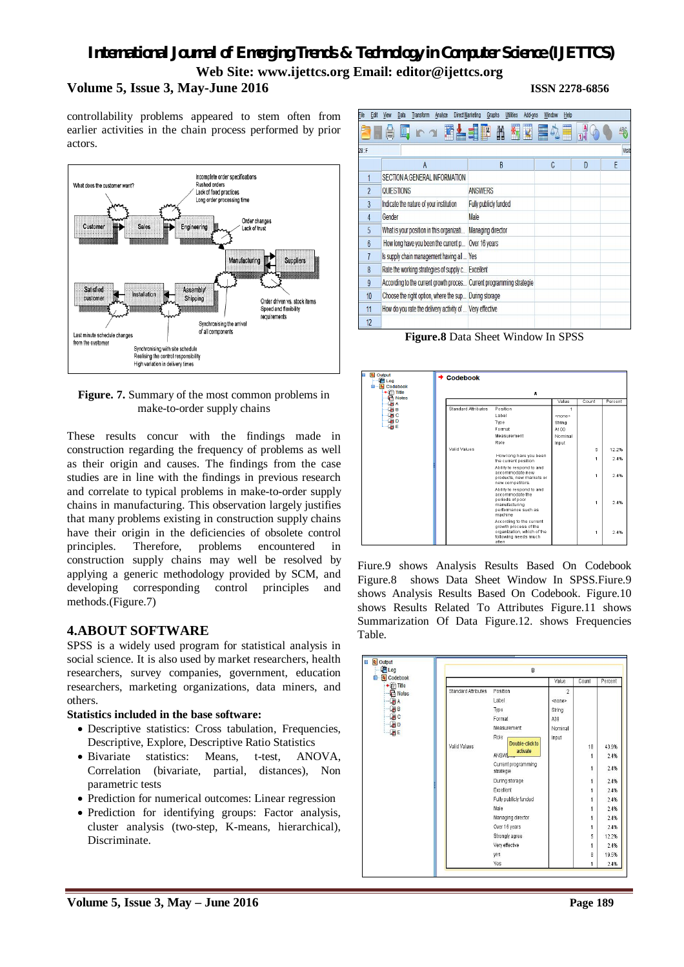controllability problems appeared to stem often from earlier activities in the chain process performed by prior actors.



**Figure. 7.** Summary of the most common problems in make-to-order supply chains

These results concur with the findings made in construction regarding the frequency of problems as well as their origin and causes. The findings from the case studies are in line with the findings in previous research and correlate to typical problems in make-to-order supply chains in manufacturing. This observation largely justifies that many problems existing in construction supply chains have their origin in the deficiencies of obsolete control principles. Therefore, problems encountered in construction supply chains may well be resolved by applying a generic methodology provided by SCM, and developing corresponding control principles and methods.(Figure.7)

#### **4.ABOUT SOFTWARE**

SPSS is a widely used program for statistical analysis in social science. It is also used by market researchers, health researchers, survey companies, government, education researchers, marketing organizations, data miners, and others.

#### **Statistics included in the base software:**

- Descriptive statistics: Cross tabulation, Frequencies, Descriptive, Explore, Descriptive Ratio Statistics
- Bivariate statistics: Means, t-test, ANOVA, Correlation (bivariate, partial, distances), Non parametric tests
- Prediction for numerical outcomes: Linear regression
- Prediction for identifying groups: Factor analysis, cluster analysis (two-step, K-means, hierarchical), Discriminate.

| File    | Edit            | View                                                                 | Data | Transform      | Analyze |                       | <b>Direct Marketing</b> | Graphs                   | <b>Utilities</b> | Add-ons |   | Window | Help |   |       |
|---------|-----------------|----------------------------------------------------------------------|------|----------------|---------|-----------------------|-------------------------|--------------------------|------------------|---------|---|--------|------|---|-------|
|         |                 |                                                                      |      |                |         |                       |                         |                          | 鞠                |         | E |        | Ë    |   | 聖     |
| $28:$ F |                 |                                                                      |      |                |         |                       |                         |                          |                  |         |   |        |      |   | Visit |
|         |                 |                                                                      |      | $\overline{A}$ |         |                       |                         | B                        |                  |         |   | C      |      | D | F     |
|         |                 | SECTION A:GENERAL INFORMATION                                        |      |                |         |                       |                         |                          |                  |         |   |        |      |   |       |
|         | $\overline{2}$  | QUIESTIONS                                                           |      |                |         |                       | <b>ANSWERS</b>          |                          |                  |         |   |        |      |   |       |
|         | 3               | Indicate the nature of your institution                              |      |                |         | Fully publicly funded |                         |                          |                  |         |   |        |      |   |       |
|         | $\overline{4}$  | Gender                                                               |      |                |         | Male                  |                         |                          |                  |         |   |        |      |   |       |
|         | 5               | What is your position in this organizati                             |      |                |         |                       |                         | <b>Managing director</b> |                  |         |   |        |      |   |       |
|         | $6\phantom{.}6$ | How long have you been the current p                                 |      |                |         |                       | Over 16 years           |                          |                  |         |   |        |      |   |       |
|         | 7               | Is supply chain management having all  Yes                           |      |                |         |                       |                         |                          |                  |         |   |        |      |   |       |
|         | 8               | Rate the working strategies of supply c Excellent                    |      |                |         |                       |                         |                          |                  |         |   |        |      |   |       |
|         | $\overline{9}$  | According to the current growth proces Current programming strategie |      |                |         |                       |                         |                          |                  |         |   |        |      |   |       |
|         | 10              | Choose the right option, where the sup During storage                |      |                |         |                       |                         |                          |                  |         |   |        |      |   |       |
|         | 11              | How do you rate the delivery activity of  Very effective             |      |                |         |                       |                         |                          |                  |         |   |        |      |   |       |
|         | 12              |                                                                      |      |                |         |                       |                         |                          |                  |         |   |        |      |   |       |

**Figure.8** Data Sheet Window In SPSS



Fiure.9 shows Analysis Results Based On Codebook Figure.8 shows Data Sheet Window In SPSS.Fiure.9 shows Analysis Results Based On Codebook. Figure.10 shows Results Related To Attributes Figure.11 shows Summarization Of Data Figure.12. shows Frequencies Table.

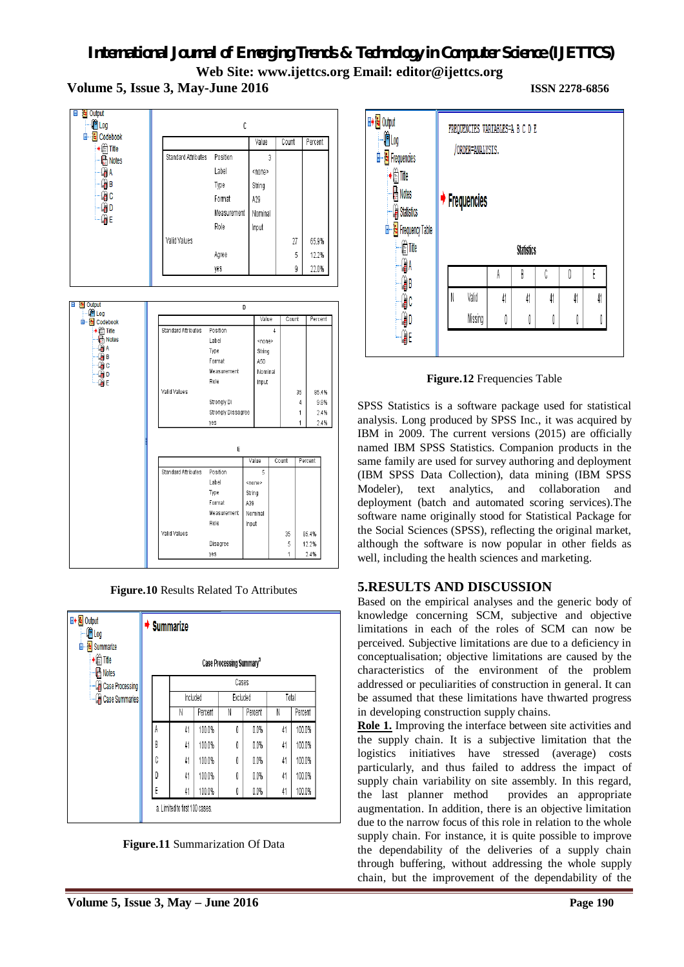**Volume 5, Issue 3, May-June 2016 ISSN 2278-6856**



**Figure.10** Results Related To Attributes

| <b>⊞</b> → B Output<br>tog                                            | $\rightarrow$ Summarize              |                                |         |          |         |       |         |  |  |  |
|-----------------------------------------------------------------------|--------------------------------------|--------------------------------|---------|----------|---------|-------|---------|--|--|--|
| <b>E</b> Summarize<br>Ė<br>$\rightarrow \oplus$ Title<br><b>Notes</b> | Case Processing Summary <sup>a</sup> |                                |         |          |         |       |         |  |  |  |
| <b>Case Processing</b>                                                |                                      | Cases                          |         |          |         |       |         |  |  |  |
| Case Summaries                                                        |                                      | Included                       |         | Excluded |         | Total |         |  |  |  |
|                                                                       |                                      | Ν                              | Percent | N        | Percent | Ν     | Percent |  |  |  |
|                                                                       | A                                    | 41                             | 100.0%  | 0        | 0.0%    | 41    | 100.0%  |  |  |  |
|                                                                       | B                                    | 41                             | 100.0%  | 0        | 0.0%    | 41    | 100.0%  |  |  |  |
|                                                                       | Ċ                                    | 41                             | 100.0%  | 0        | 0.0%    | 41    | 100.0%  |  |  |  |
|                                                                       | D                                    | 41                             | 100.0%  | 0        | 0.0%    | 41    | 100.0%  |  |  |  |
|                                                                       | E                                    | 41                             | 100.0%  | 0        | 0.0%    | 41    | 100.0%  |  |  |  |
|                                                                       |                                      | a. Limited to first 100 cases. |         |          |         |       |         |  |  |  |

**Figure.11** Summarization Of Data



**Figure.12** Frequencies Table

SPSS Statistics is a software package used for statistical analysis. Long produced by SPSS Inc., it was acquired by IBM in 2009. The current versions (2015) are officially named IBM SPSS Statistics. Companion products in the same family are used for survey authoring and deployment (IBM SPSS Data Collection), data mining (IBM SPSS Modeler), text analytics, and collaboration and deployment (batch and automated scoring services).The software name originally stood for Statistical Package for the Social Sciences (SPSS), reflecting the original market, although the software is now popular in other fields as well, including the health sciences and marketing.

### **5.RESULTS AND DISCUSSION**

Based on the empirical analyses and the generic body of knowledge concerning SCM, subjective and objective limitations in each of the roles of SCM can now be perceived. Subjective limitations are due to a deficiency in conceptualisation; objective limitations are caused by the characteristics of the environment of the problem addressed or peculiarities of construction in general. It can be assumed that these limitations have thwarted progress in developing construction supply chains.

**Role 1.** Improving the interface between site activities and the supply chain. It is a subjective limitation that the logistics initiatives have stressed (average) costs particularly, and thus failed to address the impact of supply chain variability on site assembly. In this regard, the last planner method provides an appropriate augmentation. In addition, there is an objective limitation due to the narrow focus of this role in relation to the whole supply chain. For instance, it is quite possible to improve the dependability of the deliveries of a supply chain through buffering, without addressing the whole supply chain, but the improvement of the dependability of the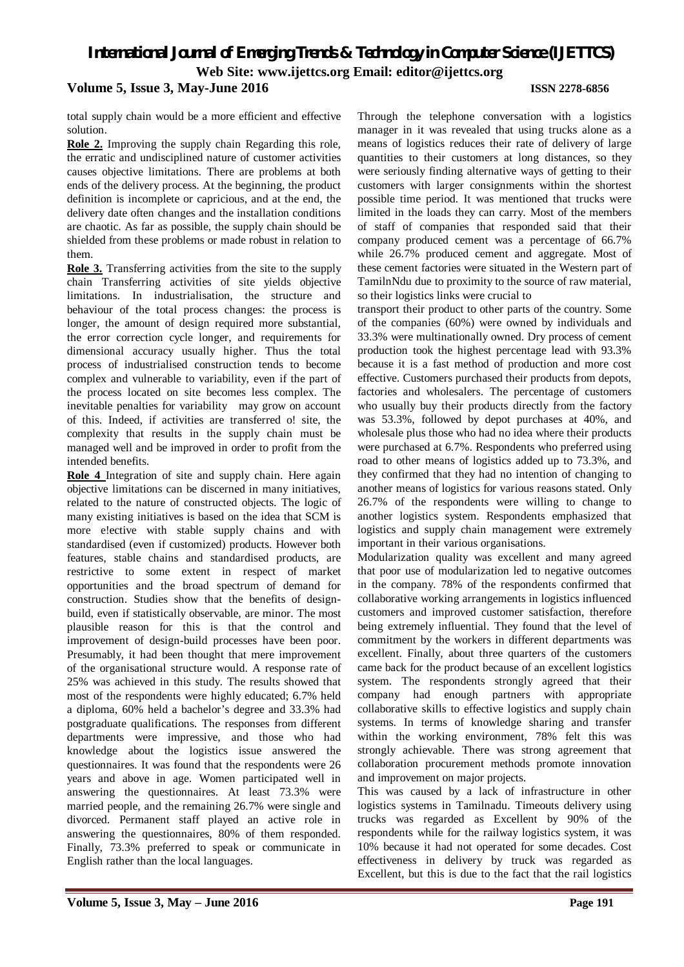total supply chain would be a more efficient and effective solution.

**Role 2.** Improving the supply chain Regarding this role, the erratic and undisciplined nature of customer activities causes objective limitations. There are problems at both ends of the delivery process. At the beginning, the product definition is incomplete or capricious, and at the end, the delivery date often changes and the installation conditions are chaotic. As far as possible, the supply chain should be shielded from these problems or made robust in relation to them.

**Role 3.** Transferring activities from the site to the supply chain Transferring activities of site yields objective limitations. In industrialisation, the structure and behaviour of the total process changes: the process is longer, the amount of design required more substantial, the error correction cycle longer, and requirements for dimensional accuracy usually higher. Thus the total process of industrialised construction tends to become complex and vulnerable to variability, even if the part of the process located on site becomes less complex. The inevitable penalties for variability may grow on account of this. Indeed, if activities are transferred o! site, the complexity that results in the supply chain must be managed well and be improved in order to profit from the intended benefits.

**Role 4** Integration of site and supply chain. Here again objective limitations can be discerned in many initiatives, related to the nature of constructed objects. The logic of many existing initiatives is based on the idea that SCM is more e!ective with stable supply chains and with standardised (even if customized) products. However both features, stable chains and standardised products, are restrictive to some extent in respect of market opportunities and the broad spectrum of demand for construction. Studies show that the benefits of designbuild, even if statistically observable, are minor. The most plausible reason for this is that the control and improvement of design-build processes have been poor. Presumably, it had been thought that mere improvement of the organisational structure would. A response rate of 25% was achieved in this study. The results showed that most of the respondents were highly educated; 6.7% held a diploma, 60% held a bachelor's degree and 33.3% had postgraduate qualifications. The responses from different departments were impressive, and those who had knowledge about the logistics issue answered the questionnaires. It was found that the respondents were 26 years and above in age. Women participated well in answering the questionnaires. At least 73.3% were married people, and the remaining 26.7% were single and divorced. Permanent staff played an active role in answering the questionnaires, 80% of them responded. Finally, 73.3% preferred to speak or communicate in English rather than the local languages.

Through the telephone conversation with a logistics manager in it was revealed that using trucks alone as a means of logistics reduces their rate of delivery of large quantities to their customers at long distances, so they were seriously finding alternative ways of getting to their customers with larger consignments within the shortest possible time period. It was mentioned that trucks were limited in the loads they can carry. Most of the members of staff of companies that responded said that their company produced cement was a percentage of 66.7% while 26.7% produced cement and aggregate. Most of these cement factories were situated in the Western part of TamilnNdu due to proximity to the source of raw material, so their logistics links were crucial to

transport their product to other parts of the country. Some of the companies (60%) were owned by individuals and 33.3% were multinationally owned. Dry process of cement production took the highest percentage lead with 93.3% because it is a fast method of production and more cost effective. Customers purchased their products from depots, factories and wholesalers. The percentage of customers who usually buy their products directly from the factory was 53.3%, followed by depot purchases at 40%, and wholesale plus those who had no idea where their products were purchased at 6.7%. Respondents who preferred using road to other means of logistics added up to 73.3%, and they confirmed that they had no intention of changing to another means of logistics for various reasons stated. Only 26.7% of the respondents were willing to change to another logistics system. Respondents emphasized that logistics and supply chain management were extremely important in their various organisations.

Modularization quality was excellent and many agreed that poor use of modularization led to negative outcomes in the company. 78% of the respondents confirmed that collaborative working arrangements in logistics influenced customers and improved customer satisfaction, therefore being extremely influential. They found that the level of commitment by the workers in different departments was excellent. Finally, about three quarters of the customers came back for the product because of an excellent logistics system. The respondents strongly agreed that their company had enough partners with appropriate collaborative skills to effective logistics and supply chain systems. In terms of knowledge sharing and transfer within the working environment, 78% felt this was strongly achievable. There was strong agreement that collaboration procurement methods promote innovation and improvement on major projects.

This was caused by a lack of infrastructure in other logistics systems in Tamilnadu. Timeouts delivery using trucks was regarded as Excellent by 90% of the respondents while for the railway logistics system, it was 10% because it had not operated for some decades. Cost effectiveness in delivery by truck was regarded as Excellent, but this is due to the fact that the rail logistics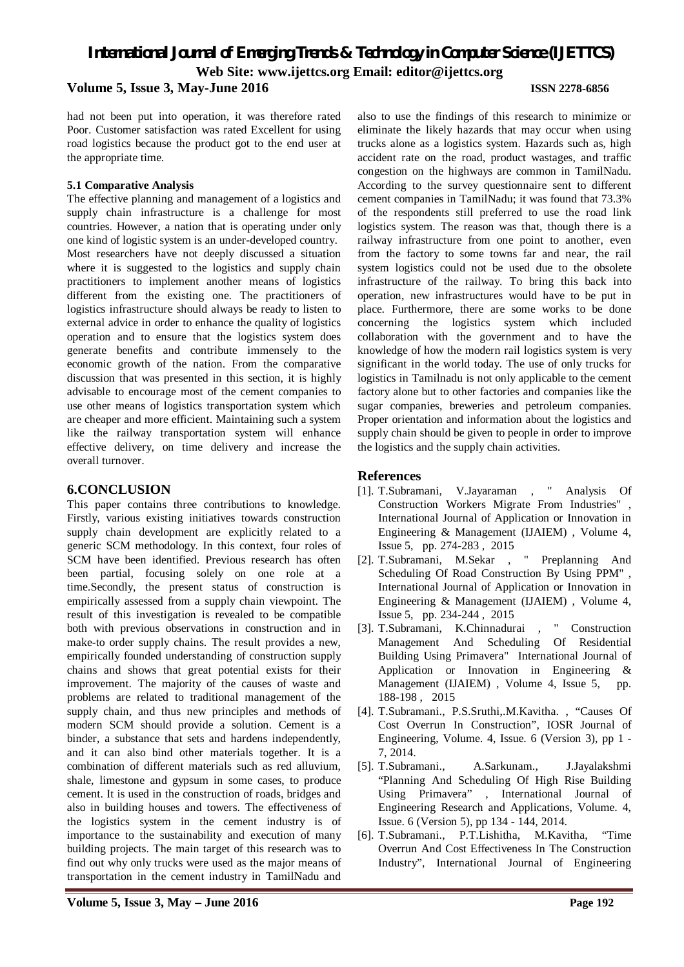#### **Volume 5, Issue 3, May-June 2016 ISSN 2278-6856**

had not been put into operation, it was therefore rated Poor. Customer satisfaction was rated Excellent for using road logistics because the product got to the end user at the appropriate time.

#### **5.1 Comparative Analysis**

The effective planning and management of a logistics and supply chain infrastructure is a challenge for most countries. However, a nation that is operating under only one kind of logistic system is an under-developed country. Most researchers have not deeply discussed a situation where it is suggested to the logistics and supply chain practitioners to implement another means of logistics different from the existing one. The practitioners of logistics infrastructure should always be ready to listen to external advice in order to enhance the quality of logistics operation and to ensure that the logistics system does generate benefits and contribute immensely to the economic growth of the nation. From the comparative discussion that was presented in this section, it is highly advisable to encourage most of the cement companies to use other means of logistics transportation system which are cheaper and more efficient. Maintaining such a system like the railway transportation system will enhance effective delivery, on time delivery and increase the overall turnover.

#### **6.CONCLUSION**

This paper contains three contributions to knowledge. Firstly, various existing initiatives towards construction supply chain development are explicitly related to a generic SCM methodology. In this context, four roles of SCM have been identified. Previous research has often been partial, focusing solely on one role at a time.Secondly, the present status of construction is empirically assessed from a supply chain viewpoint. The result of this investigation is revealed to be compatible both with previous observations in construction and in make-to order supply chains. The result provides a new, empirically founded understanding of construction supply chains and shows that great potential exists for their improvement. The majority of the causes of waste and problems are related to traditional management of the supply chain, and thus new principles and methods of modern SCM should provide a solution. Cement is a binder, a substance that sets and hardens independently, and it can also bind other materials together. It is a combination of different materials such as red alluvium, shale, limestone and gypsum in some cases, to produce cement. It is used in the construction of roads, bridges and also in building houses and towers. The effectiveness of the logistics system in the cement industry is of importance to the sustainability and execution of many building projects. The main target of this research was to find out why only trucks were used as the major means of transportation in the cement industry in TamilNadu and

also to use the findings of this research to minimize or eliminate the likely hazards that may occur when using trucks alone as a logistics system. Hazards such as, high accident rate on the road, product wastages, and traffic congestion on the highways are common in TamilNadu. According to the survey questionnaire sent to different cement companies in TamilNadu; it was found that 73.3% of the respondents still preferred to use the road link logistics system. The reason was that, though there is a railway infrastructure from one point to another, even from the factory to some towns far and near, the rail system logistics could not be used due to the obsolete infrastructure of the railway. To bring this back into operation, new infrastructures would have to be put in place. Furthermore, there are some works to be done concerning the logistics system which included collaboration with the government and to have the knowledge of how the modern rail logistics system is very significant in the world today. The use of only trucks for logistics in Tamilnadu is not only applicable to the cement factory alone but to other factories and companies like the sugar companies, breweries and petroleum companies. Proper orientation and information about the logistics and supply chain should be given to people in order to improve the logistics and the supply chain activities.

#### **References**

- [1]. T.Subramani, V.Jayaraman , " Analysis Of Construction Workers Migrate From Industries" , International Journal of Application or Innovation in Engineering & Management (IJAIEM) , Volume 4, Issue 5, pp. 274-283 , 2015
- [2]. T.Subramani, M.Sekar , " Preplanning And Scheduling Of Road Construction By Using PPM" , International Journal of Application or Innovation in Engineering & Management (IJAIEM) , Volume 4, Issue 5, pp. 234-244 , 2015
- [3]. T.Subramani, K.Chinnadurai , " Construction Management And Scheduling Of Residential Building Using Primavera" International Journal of Application or Innovation in Engineering & Management (IJAIEM), Volume 4, Issue 5, pp. 188-198 , 2015
- [4]. T.Subramani., P.S.Sruthi,.M.Kavitha. , "Causes Of Cost Overrun In Construction", IOSR Journal of Engineering, Volume. 4, Issue. 6 (Version 3), pp 1 - 7, 2014.
- [5]. T.Subramani., A.Sarkunam., J.Jayalakshmi "Planning And Scheduling Of High Rise Building Using Primavera" , International Journal of Engineering Research and Applications, Volume. 4, Issue. 6 (Version 5), pp 134 - 144, 2014.
- [6]. T.Subramani., P.T.Lishitha, M.Kavitha, "Time Overrun And Cost Effectiveness In The Construction Industry", International Journal of Engineering